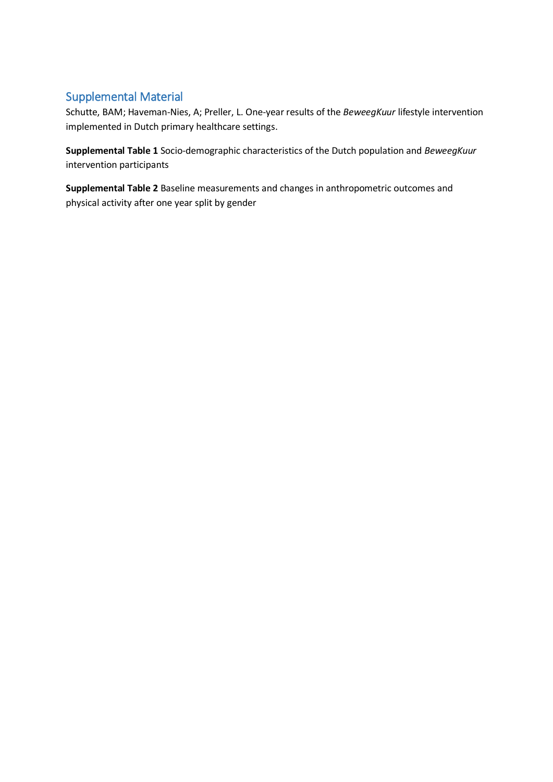## Supplemental Material

Schutte, BAM; Haveman-Nies, A; Preller, L. One-year results of the *BeweegKuur* lifestyle intervention implemented in Dutch primary healthcare settings.

**Supplemental Table 1** Socio-demographic characteristics of the Dutch population and *BeweegKuur* intervention participants

**Supplemental Table 2** Baseline measurements and changes in anthropometric outcomes and physical activity after one year split by gender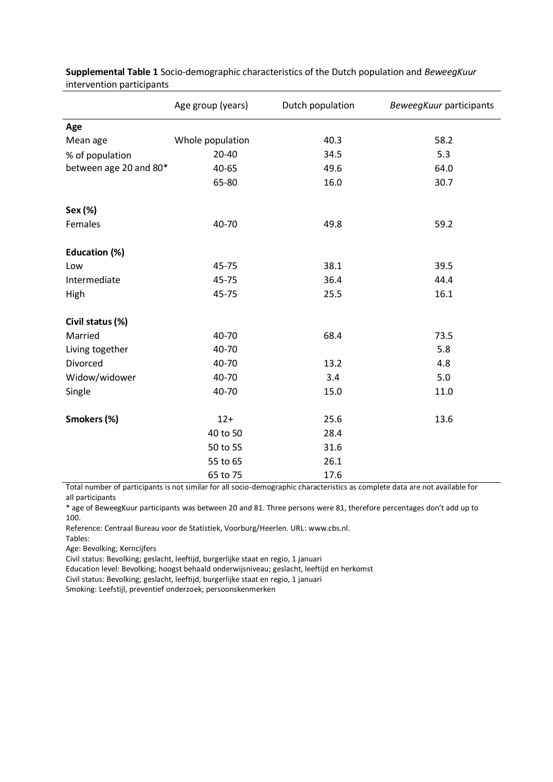|                        | Age group (years) | Dutch population | BeweegKuur participants |  |  |
|------------------------|-------------------|------------------|-------------------------|--|--|
| Age                    |                   |                  |                         |  |  |
| Mean age               | Whole population  | 40.3             | 58.2                    |  |  |
| % of population        | 20-40             | 34.5             | 5.3                     |  |  |
| between age 20 and 80* | 40-65             | 49.6             | 64.0                    |  |  |
|                        | 65-80             | 16.0             | 30.7                    |  |  |
| Sex (%)                |                   |                  |                         |  |  |
| Females                | 40-70             | 49.8             | 59.2                    |  |  |
| Education (%)          |                   |                  |                         |  |  |
| Low                    | 45-75             | 38.1             | 39.5                    |  |  |
| Intermediate           | 45-75             | 36.4             | 44.4                    |  |  |
| High                   | 45-75             | 25.5             | 16.1                    |  |  |
| Civil status (%)       |                   |                  |                         |  |  |
| Married                | 40-70             | 68.4             | 73.5                    |  |  |
| Living together        | 40-70             |                  | 5.8                     |  |  |
| Divorced               | 40-70             | 13.2             | 4.8                     |  |  |
| Widow/widower          | 40-70             | 3.4              | 5.0                     |  |  |
| Single                 | 40-70             | 15.0             | 11.0                    |  |  |
| Smokers (%)            | $12+$             | 25.6             | 13.6                    |  |  |
|                        | 40 to 50          | 28.4             |                         |  |  |
|                        | 50 to 55          | 31.6             |                         |  |  |
|                        | 55 to 65          | 26.1             |                         |  |  |
|                        | 65 to 75          | 17.6             |                         |  |  |

**Supplemental Table 1** Socio-demographic characteristics of the Dutch population and *BeweegKuur* intervention participants

Total number of participants is not similar for all socio-demographic characteristics as complete data are not available for all participants

\* age of BeweegKuur participants was between 20 and 81. Three persons were 81, therefore percentages don't add up to 100.

Reference: Centraal Bureau voor de Statistiek, Voorburg/Heerlen. URL: www.cbs.nl.

Tables: Age: Bevolking; Kerncijfers

Civil status: Bevolking; geslacht, leeftijd, burgerlijke staat en regio, 1 januari

Education level: Bevolking; hoogst behaald onderwijsniveau; geslacht, leeftijd en herkomst

Civil status: Bevolking; geslacht, leeftijd, burgerlijke staat en regio, 1 januari

Smoking: Leefstijl, preventief onderzoek; persoonskenmerken